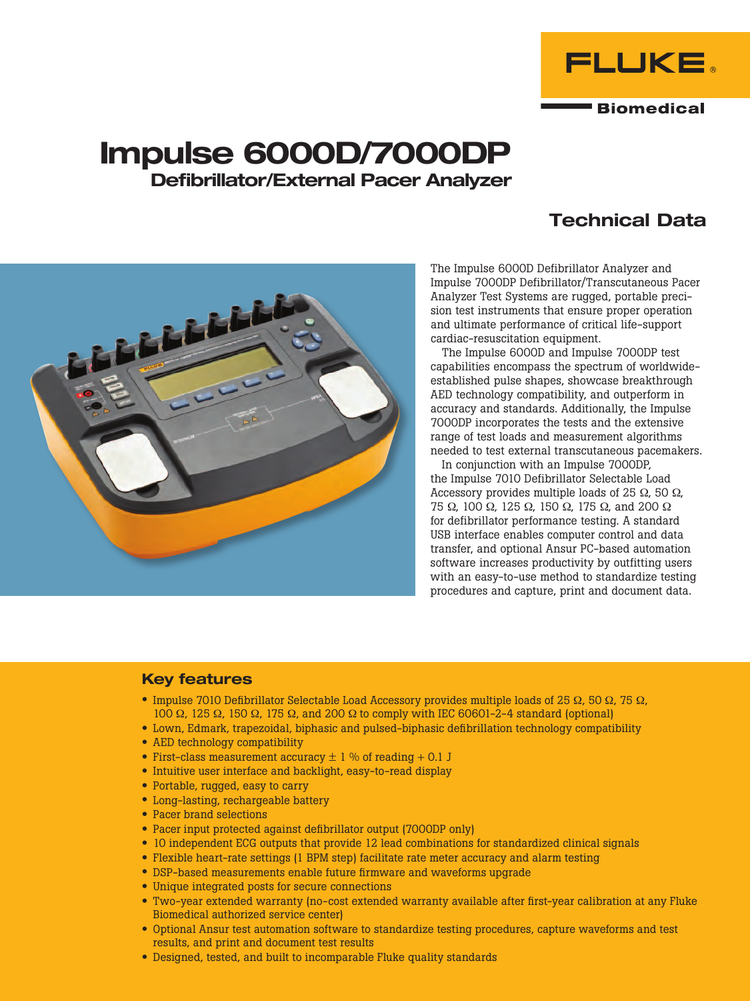

# Impulse 6000D/7000DP Defibrillator/External Pacer Analyzer

## Technical Data



The Impulse 6000D Defibrillator Analyzer and Impulse 7000DP Defibrillator/Transcutaneous Pacer Analyzer Test Systems are rugged, portable precision test instruments that ensure proper operation and ultimate performance of critical life-support cardiac-resuscitation equipment.

The Impulse 6000D and Impulse 7000DP test capabilities encompass the spectrum of worldwideestablished pulse shapes, showcase breakthrough AED technology compatibility, and outperform in accuracy and standards. Additionally, the Impulse 7000DP incorporates the tests and the extensive range of test loads and measurement algorithms needed to test external transcutaneous pacemakers.

In conjunction with an Impulse 7000DP, the Impulse 7010 Defibrillator Selectable Load Accessory provides multiple loads of 25  $\Omega$ , 50  $\Omega$ , 75 Ω, 100 Ω, 125 Ω, 150 Ω, 175 Ω, and 200 Ω for defibrillator performance testing. A standard USB interface enables computer control and data transfer, and optional Ansur PC-based automation software increases productivity by outfitting users with an easy-to-use method to standardize testing procedures and capture, print and document data.

#### Key features

- Impulse 7010 Defibrillator Selectable Load Accessory provides multiple loads of 25  $\Omega$ , 50  $\Omega$ , 75  $\Omega$ , 100 Ω, 125 Ω, 150 Ω, 175 Ω, and 200 Ω to comply with IEC 60601-2-4 standard (optional)
- • Lown, Edmark, trapezoidal, biphasic and pulsed-biphasic defibrillation technology compatibility
- AED technology compatibility
- First-class measurement accuracy  $\pm$  1 % of reading + 0.1 J
- Intuitive user interface and backlight, easy-to-read display
- Portable, rugged, easy to carry
- Long-lasting, rechargeable battery
- Pacer brand selections
- Pacer input protected against defibrillator output (7000DP only)
- 10 independent ECG outputs that provide 12 lead combinations for standardized clinical signals
- Flexible heart-rate settings (1 BPM step) facilitate rate meter accuracy and alarm testing
- DSP-based measurements enable future firmware and waveforms upgrade
- Unique integrated posts for secure connections
- • Two-year extended warranty (no-cost extended warranty available after first-year calibration at any Fluke Biomedical authorized service center)
- • Optional Ansur test automation software to standardize testing procedures, capture waveforms and test results, and print and document test results
- Designed, tested, and built to incomparable Fluke quality standards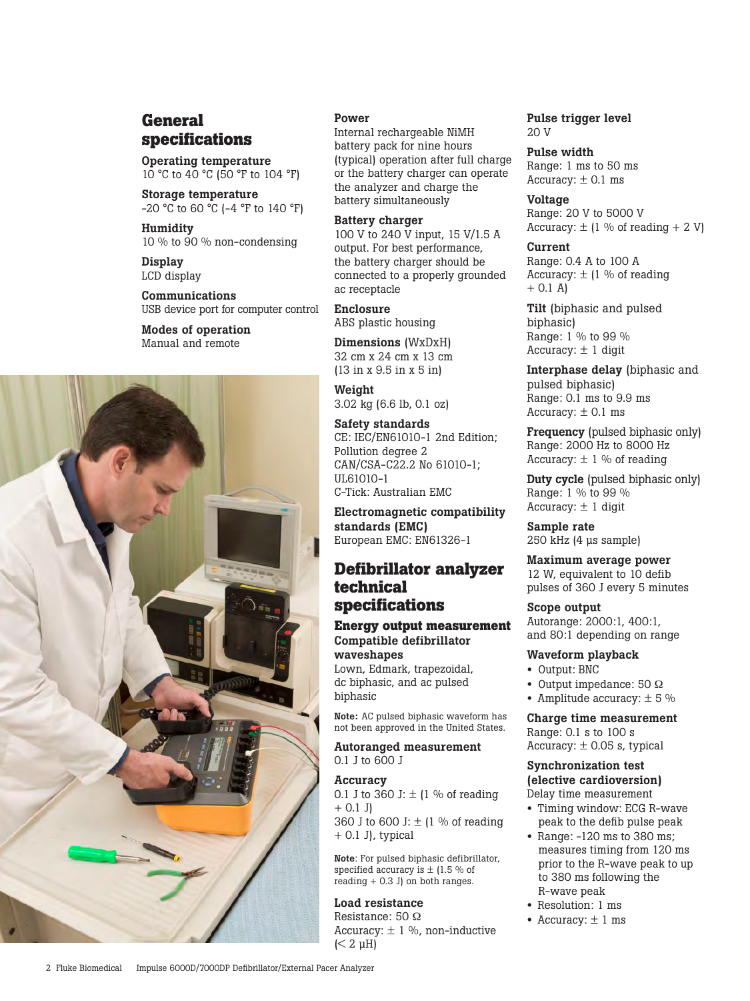## **General specifications**

Operating temperature 10 °C to 40 °C (50 °F to 104 °F)

Storage temperature -20 °C to 60 °C (-4 °F to 140 °F)

Humidity 10 % to 90 % non-condensing

Display LCD display

Communications USB device port for computer control

Modes of operation Manual and remote



#### Power

Internal rechargeable NiMH battery pack for nine hours (typical) operation after full charge or the battery charger can operate the analyzer and charge the battery simultaneously

Battery charger 100 V to 240 V input, 15 V/1.5 A output. For best performance, the battery charger should be connected to a properly grounded ac receptacle

Enclosure ABS plastic housing

Dimensions (WxDxH) 32 cm x 24 cm x 13 cm (13 in x 9.5 in x 5 in)

Weight 3.02 kg (6.6 lb, 0.1 oz)

Safety standards CE: IEC/EN61010-1 2nd Edition; Pollution degree 2 CAN/CSA-C22.2 No 61010-1; UL61010-1 C-Tick: Australian EMC

Electromagnetic compatibility standards (EMC) European EMC: EN61326-1

## **Defibrillator analyzer technical specifications**

## **Energy output measurement** Compatible defibrillator waveshapes

Lown, Edmark, trapezoidal, dc biphasic, and ac pulsed biphasic

Note: AC pulsed biphasic waveform has not been approved in the United States.

Autoranged measurement 0.1 J to 600 J

## Accuracy

0.1 J to 360 J:  $\pm$  (1 % of reading  $+ 0.1$  J) 360 J to 600 J:  $\pm$  (1 % of reading  $+ 0.1$  J), typical

Note: For pulsed biphasic defibrillator, specified accuracy is  $\pm$  (1.5 % of reading  $+ 0.3$  J) on both ranges.

#### Load resistance

Resistance: 50 Ω Accuracy:  $\pm$  1 %, non-inductive  $(< 2 \mu H)$ 

Pulse trigger level  $20V$ 

Pulse width Range: 1 ms to 50 ms Accuracy:  $\pm$  0.1 ms

Voltage Range: 20 V to 5000 V Accuracy:  $\pm$  (1 % of reading + 2 V)

Current Range: 0.4 A to 100 A Accuracy:  $\pm$  (1 % of reading  $+$  0.1 A)

Tilt (biphasic and pulsed biphasic) Range: 1 % to 99 % Accuracy:  $\pm$  1 digit

Interphase delay (biphasic and pulsed biphasic) Range: 0.1 ms to 9.9 ms Accuracy:  $\pm$  0.1 ms

Frequency (pulsed biphasic only) Range: 2000 Hz to 8000 Hz Accuracy:  $\pm$  1 % of reading

Duty cycle (pulsed biphasic only) Range: 1 % to 99 % Accuracy:  $\pm$  1 digit

Sample rate 250 kHz (4 µs sample)

Maximum average power 12 W, equivalent to 10 defib

pulses of 360 J every 5 minutes

Scope output Autorange: 2000:1, 400:1, and 80:1 depending on range

#### Waveform playback

- Output: BNC
- Output impedance: 50 Ω
- Amplitude accuracy: ± 5 %

Charge time measurement Range: 0.1 s to 100 s Accuracy:  $\pm$  0.05 s, typical

#### Synchronization test (elective cardioversion) Delay time measurement

- Timing window: ECG R-wave peak to the defib pulse peak
- Range: -120 ms to 380 ms; measures timing from 120 ms prior to the R-wave peak to up to 380 ms following the R-wave peak
- Resolution: 1 ms
- Accuracy:  $\pm$  1 ms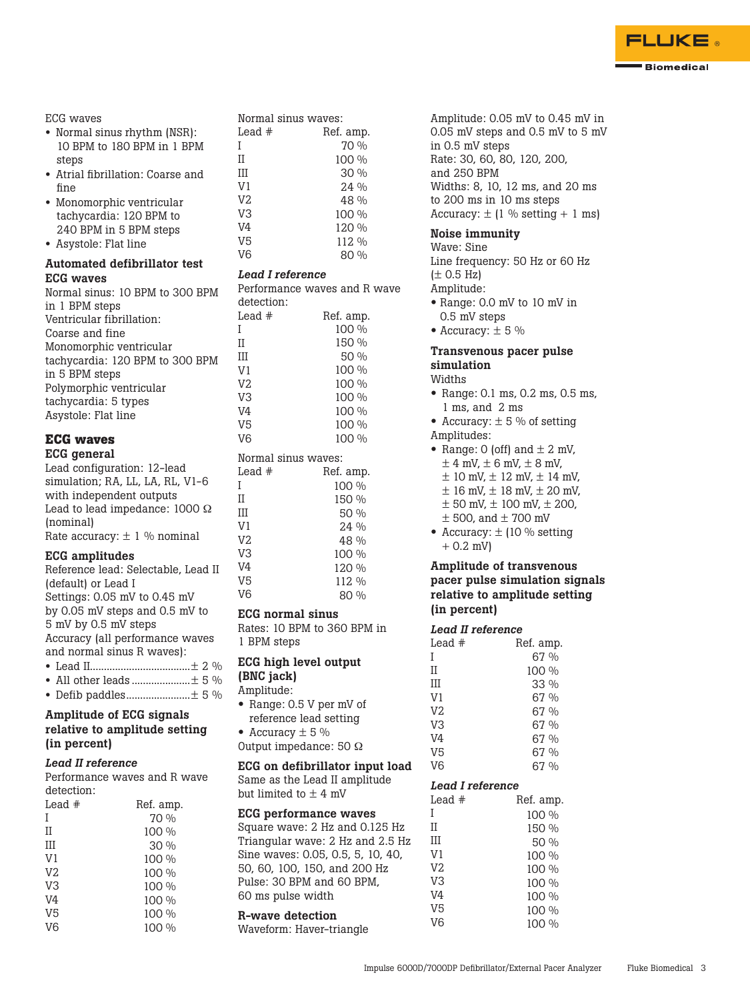

#### ECG waves

- Normal sinus rhythm (NSR): 10 BPM to 180 BPM in 1 BPM steps
- Atrial fibrillation: Coarse and fine
- Monomorphic ventricular tachycardia: 120 BPM to 240 BPM in 5 BPM steps
- Asystole: Flat line

#### Automated defibrillator test ECG waves

| Normal sinus: 10 BPM to 300 BPM |
|---------------------------------|
| in 1 BPM steps                  |
| Ventricular fibrillation:       |
| Coarse and fine                 |
| Monomorphic ventricular         |
| tachycardia: 120 BPM to 300 BPM |
| in 5 BPM steps                  |
| Polymorphic ventricular         |
| tachycardia: 5 types            |
| Asystole: Flat line             |
|                                 |

#### **ECG waves** ECG general

Lead configuration: 12-lead simulation; RA, LL, LA, RL, V1-6 with independent outputs Lead to lead impedance: 1000 Ω (nominal) Rate accuracy:  $\pm$  1 % nominal

#### ECG amplitudes

| Reference lead: Selectable, Lead II |
|-------------------------------------|
| (default) or Lead I                 |
| Settings: 0.05 mV to 0.45 mV        |
| by 0.05 mV steps and 0.5 mV to      |
| 5 mV by 0.5 mV steps                |
| Accuracy (all performance waves     |
| and normal sinus R waves):          |
| ⊥ ∩ ∩/.<br>$\sim$ I ood II          |

- Lead II....................................± 2 % • All other leads .....................± 5 %
- Defib paddles.......................± 5 %

## Amplitude of ECG signals relative to amplitude setting (in percent)

## *Lead II reference*

Performance waves and R wave detection: 

| Lead $#$       | Ref. amp. |
|----------------|-----------|
| I              | 70 %      |
| П              | 100 %     |
| Ш              | 30%       |
| V <sub>1</sub> | 100 %     |
| V <sub>2</sub> | 100 %     |
| V3             | 100 %     |
| V4             | 100 %     |
| V5             | 100 %     |
| V <sub>6</sub> | 100 %     |

| Normal sinus waves: |           |
|---------------------|-----------|
| Lead $#$            | Ref. amp. |
| T                   | 70 %      |
| П                   | 100 %     |
| Ш                   | 30%       |
| V <sub>1</sub>      | 24%       |
| V <sub>2</sub>      | 48 %      |
| V3                  | 100 %     |
| V4                  | 120 %     |
| V5                  | 112 %     |
| V6                  | 80 %      |

### *Lead I reference*

| reau i telefeilce                   |                                   | $\perp$             |
|-------------------------------------|-----------------------------------|---------------------|
|                                     | Performance waves and R wave      | Am                  |
| detection:                          |                                   | $\bullet$ R         |
| Lead $#$                            | Ref. amp.                         | O                   |
| I                                   | 100 %                             | $\bullet$ $\bar{A}$ |
| Η                                   | 150 %                             | Tra                 |
| Ш                                   | 50 %                              | sin                 |
| V1                                  | 100 %                             | Wi                  |
| V2                                  | 100 %                             |                     |
| V3                                  | 100 %                             | $\bullet$ F         |
| V4                                  | 100 %                             | 1                   |
| V5                                  | 100 %                             | $\bullet$ $\neq$    |
| V6                                  | 100 %                             | Ām                  |
| Normal sinus waves:                 |                                   | $\bullet$ F         |
| Lead #                              | Ref. amp.                         |                     |
| I                                   | 100 %                             |                     |
| Π                                   | 150 %                             |                     |
| Ш                                   | 50 %                              |                     |
| V1                                  | 24 %                              |                     |
| V2                                  | 48 %                              | l                   |
| V3                                  | 100 %                             | H                   |
| V4                                  | 120 %                             | An                  |
| V5                                  | 112 %                             | pa                  |
| V6                                  | 80 %                              | rel                 |
| <b>ECG</b> normal sinus             |                                   | (in                 |
|                                     | Rates: 10 BPM to 360 BPM in       |                     |
| 1 BPM steps                         |                                   | Leo<br>Lea          |
|                                     |                                   | I                   |
| ECG high level output               |                                   | П                   |
| (BNC jack)                          |                                   | Ш                   |
| Amplitude:                          |                                   | V1                  |
| $\bullet$<br>Range: 0.5 V per mV of |                                   | V <sub>2</sub>      |
| reference lead setting              |                                   | V3                  |
| • Accuracy $\pm$ 5 %                |                                   | V4                  |
| Output impedance: 50 $\Omega$       |                                   | V <sub>5</sub>      |
|                                     | ECG on defibrillator input load   | V6                  |
|                                     | Same as the Lead II amplitude     |                     |
| but limited to $\pm$ 4 mV           |                                   | Leo                 |
|                                     |                                   | Lea                 |
| <b>ECG performance waves</b>        |                                   | I                   |
|                                     | Square wave: 2 Hz and 0.125 Hz    | П                   |
|                                     | Triangular wave: 2 Hz and 2.5 Hz  | Ш                   |
|                                     | Sine waves: 0.05, 0.5, 5, 10, 40, | V1                  |
|                                     | 50, 60, 100, 150, and 200 Hz      | V2                  |
| Pulse: 30 BPM and 60 BPM,           |                                   | V3                  |
| 60 ms nulse width                   |                                   | V4                  |

# II III V1 V2 V3 V4

V5 V6

60 ms pulse width R-wave detection Waveform: Haver-triangle

Amplitude: 0.05 mV to 0.45 mV in 0.05 mV steps and 0.5 mV to 5 mV in 0.5 mV steps Rate: 30, 60, 80, 120, 200, and 250 BPM Widths: 8, 10, 12 ms, and 20 ms to 200 ms in 10 ms steps Accuracy:  $\pm$  (1 % setting + 1 ms) Noise immunity Wave: Sine Line frequency: 50 Hz or 60 Hz  $(\pm 0.5$  Hz) Amplitude: • Range: 0.0 mV to <sup>10</sup> mV in 0.5 mV steps • Accuracy:  $\pm$  5 % Transvenous pacer pulse simulation Widths  $\bullet$  Range: 0.1 ms, 0.2 ms, 0.5 ms, 1 ms, and 2 ms • Accuracy:  $\pm$  5 % of setting Amplitudes: • Range: 0 (off) and  $\pm$  2 mV,  $\pm$  4 mV,  $\pm$  6 mV,  $\pm$  8 mV,  $\pm$  10 mV,  $\pm$  12 mV,  $\pm$  14 mV,  $± 16$  mV,  $± 18$  mV,  $± 20$  mV,  $\pm$  50 mV,  $\pm$  100 mV,  $\pm$  200,  $±$  500, and  $±$  700 mV • Accuracy:  $\pm$  (10 % setting  $+ 0.2$  mV) Amplitude of transvenous pacer pulse simulation signals relative to amplitude setting (in percent) *Lead II reference* Ref. amp. V5 V6 *Lead I reference* Lead  $\#$  Ref. amp. II III V1 V2 67 % 100 % 33 % 67 % 67 % 67 % 67 % 67 % 67 % 100 % 150 % 50 % 100 % 100 %

100 % 100 % 100 % 100 %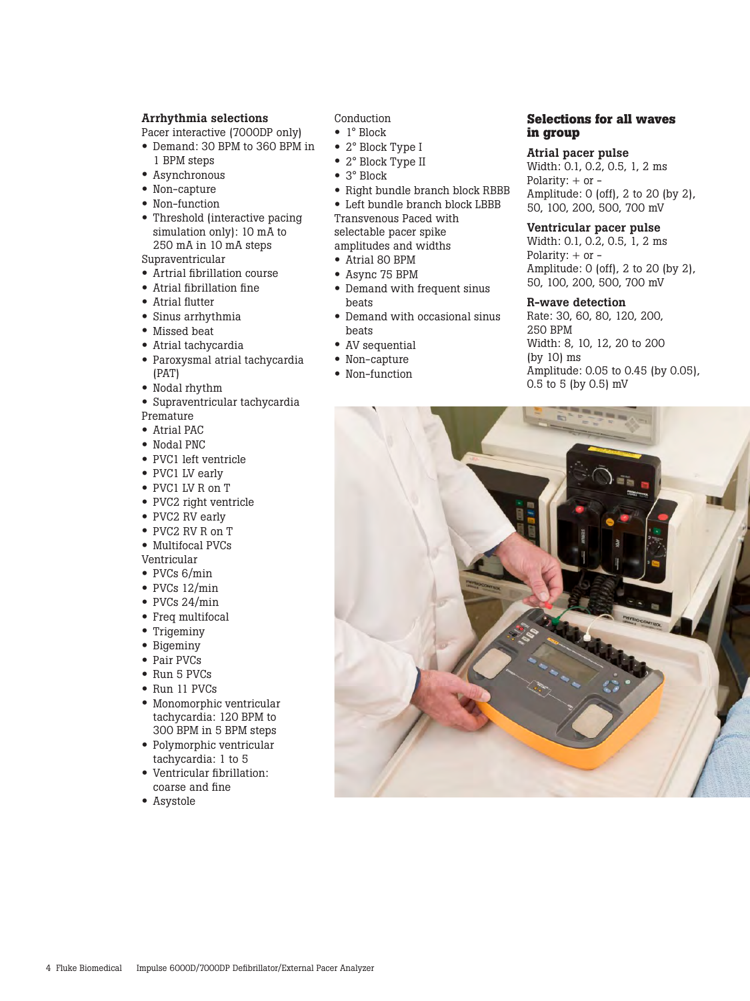#### Arrhythmia selections

Pacer interactive (7000DP only)

- • Demand: <sup>30</sup> BPM to <sup>360</sup> BPM in
- 1 BPM steps
- • Asynchronous
- Non-capture
- Non-function
- Threshold (interactive pacing simulation only): 10 mA to 250 mA in 10 mA steps

Supraventricular

- • Artrial fibrillation course
- • Atrial fibrillation fine
- • Atrial flutter
- • Sinus arrhythmia
- Missed beat
- • Atrial tachycardia
- • Paroxysmal atrial tachycardia (PAT)
- • Nodal rhythm
- • Supraventricular tachycardia
- Premature
- • Atrial PAC
- • Nodal PNC
- • PVC1 left ventricle
- PVC1 LV early
- PVC1 LV R on T
- PVC2 right ventricle
- PVC2 RV early
- • PVC2 RV <sup>R</sup> on <sup>T</sup>
- Multifocal PVCs Ventricular
- PVCs 6/min
- $\bullet$  PVCs 12/min
- • PVCs 24/min
- Freq multifocal
- Trigeminy
- Bigeminy
- Pair PVCs
- Run 5 PVCs
- Run 11 PVCs
- • Monomorphic ventricular tachycardia: 120 BPM to 300 BPM in 5 BPM steps
- • Polymorphic ventricular tachycardia: 1 to 5
- • Ventricular fibrillation: coarse and fine
- • Asystole

Conduction

- 1° Block
- 2° Block Type I
- 2° Block Type II
- 3° Block
- Right bundle branch block RBBB
- Left bundle branch block LBBB

Transvenous Paced with selectable pacer spike

- amplitudes and widths
- • Atrial <sup>80</sup> BPM
- • Async <sup>75</sup> BPM
- Demand with frequent sinus beats
- Demand with occasional sinus beats
- AV sequential
- Non-capture
- Non-function

#### **Selections for all waves in group**

#### Atrial pacer pulse

Width: 0.1, 0.2, 0.5, 1, 2 ms Polarity:  $+$  or  $-$ Amplitude: 0 (off), 2 to 20 (by 2), 50, 100, 200, 500, 700 mV

#### Ventricular pacer pulse

Width: 0.1, 0.2, 0.5, 1, 2 ms Polarity: + or - Amplitude: 0 (off), 2 to 20 (by 2), 50, 100, 200, 500, 700 mV

#### R-wave detection

Rate: 30, 60, 80, 120, 200, 250 BPM Width: 8, 10, 12, 20 to 200 (by 10) ms Amplitude: 0.05 to 0.45 (by 0.05), 0.5 to 5 (by 0.5) mV

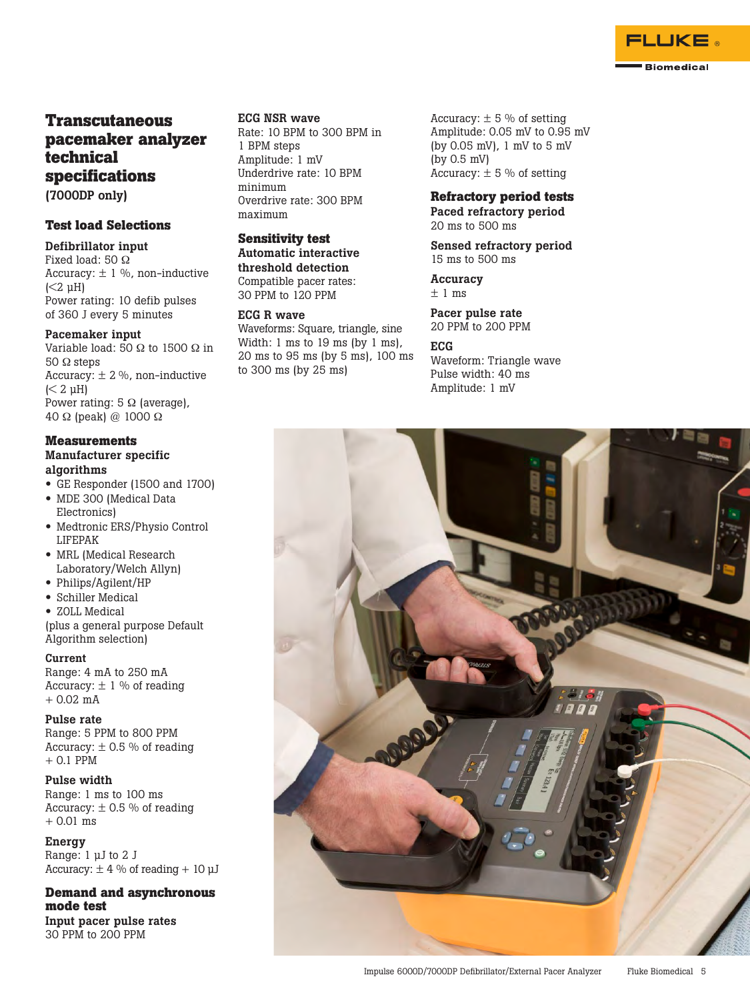

## **Transcutaneous pacemaker analyzer technical specifications**

(7000DP only)

## **Test load Selections**

Defibrillator input Fixed load: 50 Ω Accuracy:  $\pm$  1 %, non-inductive  $( $2 \mu H$ )$ Power rating: 10 defib pulses of 360 J every 5 minutes

#### Pacemaker input

Variable load: 50  $\Omega$  to 1500  $\Omega$  in 50 Ω steps Accuracy:  $\pm$  2 %, non-inductive  $(< 2 \mu H)$ Power rating:  $5 \Omega$  (average), 40 Ω (peak) @ 1000 Ω

## **Measurements**

Manufacturer specific algorithms

- GE Responder (1500 and 1700)
- MDE 300 (Medical Data Electronics)
- • Medtronic ERS/Physio Control LIFEPAK
- MRL (Medical Research Laboratory/Welch Allyn)
- • Philips/Agilent/HP
- • Schiller Medical
- ZOLL Medical

(plus a general purpose Default Algorithm selection)

## Current

Range: 4 mA to 250 mA Accuracy:  $\pm$  1 % of reading  $+ 0.02$  mA

#### Pulse rate

Range: 5 PPM to 800 PPM Accuracy:  $\pm$  0.5 % of reading + 0.1 PPM

## Pulse width

Range: 1 ms to 100 ms Accuracy:  $\pm$  0.5 % of reading + 0.01 ms

**Energy** Range: 1 µJ to 2 J Accuracy:  $\pm$  4 % of reading + 10  $\mu$ J

#### **Demand and asynchronous mode test** Input pacer pulse rates

30 PPM to 200 PPM

## ECG NSR wave

Rate: 10 BPM to 300 BPM in 1 BPM steps Amplitude: 1 mV Underdrive rate: 10 BPM minimum Overdrive rate: 300 BPM maximum

## **Sensitivity test**

Automatic interactive threshold detection Compatible pacer rates: 30 PPM to 120 PPM

#### ECG R wave

Waveforms: Square, triangle, sine Width: 1 ms to 19 ms (by 1 ms), 20 ms to 95 ms (by 5 ms), 100 ms to 300 ms (by 25 ms)

Accuracy:  $\pm$  5 % of setting Amplitude: 0.05 mV to 0.95 mV (by 0.05 mV), 1 mV to 5 mV (by 0.5 mV) Accuracy:  $\pm$  5 % of setting

### **Refractory period tests**

Paced refractory period 20 ms to 500 ms

Sensed refractory period 15 ms to 500 ms

**Accuracy**  $± 1$  ms

Pacer pulse rate 20 PPM to 200 PPM

#### ECG

Waveform: Triangle wave Pulse width: 40 ms Amplitude: 1 mV

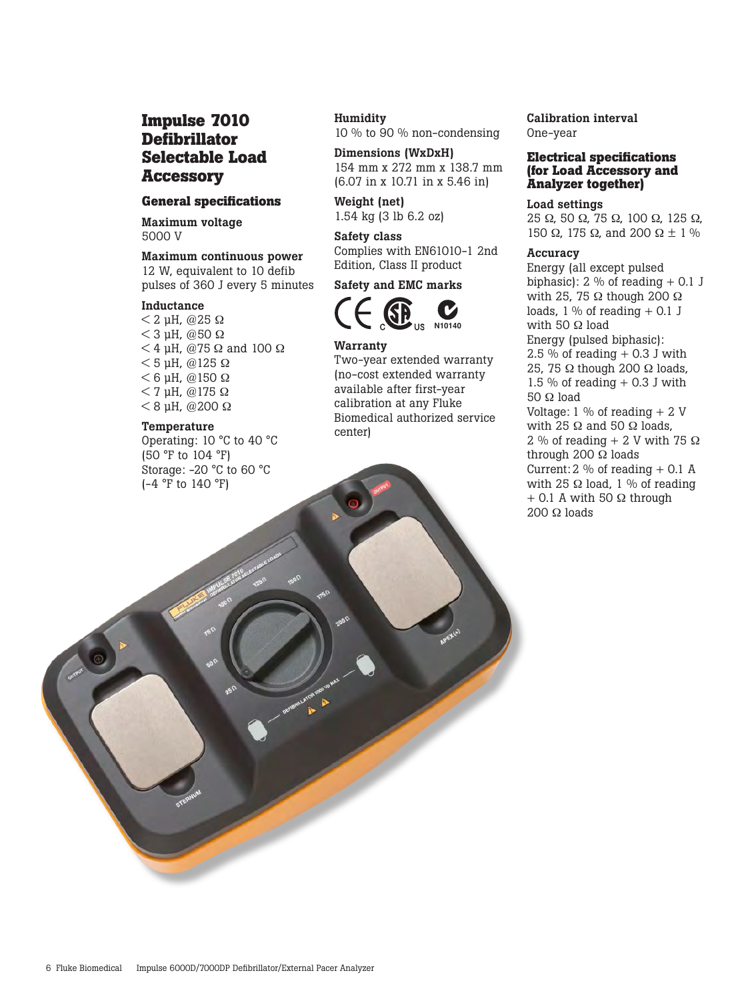## **Impulse 7010 Defibrillator Selectable Load Accessory**

### **General specifications**

Maximum voltage 5000 V

## Maximum continuous power

12 W, equivalent to 10 defib pulses of 360 J every 5 minutes

## Inductance

 $<$  2 µH, @25  $\Omega$  $<$  3 µH, @50  $\Omega$  $<$  4 µH, @75  $\Omega$  and 100  $\Omega$  $<$  5 µH, @125  $\Omega$  $<$  6 µH, @150  $\Omega$  $<$  7 µH, @175  $\Omega$  $< 8$  µH, @200  $\Omega$ 

#### Temperature

Operating: 10 °C to 40 °C (50 °F to 104 °F) Storage: -20 °C to 60 °C (-4 °F to 140 °F)

#### **Humidity**

10 % to 90 % non-condensing

Dimensions (WxDxH) 154 mm x 272 mm x 138.7 mm (6.07 in x 10.71 in x 5.46 in)

Weight (net) 1.54 kg (3 lb 6.2 oz)

#### Safety class Complies with EN61010-1 2nd

Edition, Class II product

## Safety and EMC marks



#### Warranty

Two-year extended warranty (no-cost extended warranty available after first-year calibration at any Fluke Biomedical authorized service center)

Calibration interval One-year

#### **Electrical specifications (for Load Accessory and Analyzer together)**

Load settings 25 Ω, 50 Ω, 75 Ω, 100 Ω, 125 Ω, 150  $\Omega$ , 175  $\Omega$ , and 200  $\Omega \pm 1$  %

#### Accuracy

Energy (all except pulsed biphasic):  $2\%$  of reading  $+0.1$  J with 25, 75 Ω though 200  $Ω$ loads,  $1\%$  of reading  $+0.1$  J with 50 Ω load Energy (pulsed biphasic):  $2.5\%$  of reading  $+0.3$  J with 25, 75 Ω though 200 Ω loads, 1.5 % of reading  $+$  0.3 J with 50 Ω load Voltage:  $1\%$  of reading  $+2V$ with 25  $\Omega$  and 50  $\Omega$  loads, 2 % of reading  $+$  2 V with 75  $\Omega$ through 200 Ω loads Current:  $2\%$  of reading  $+$  0.1 A with 25 Ω load, 1 % of reading  $+$  0.1 A with 50  $\Omega$  through 200 Ω loads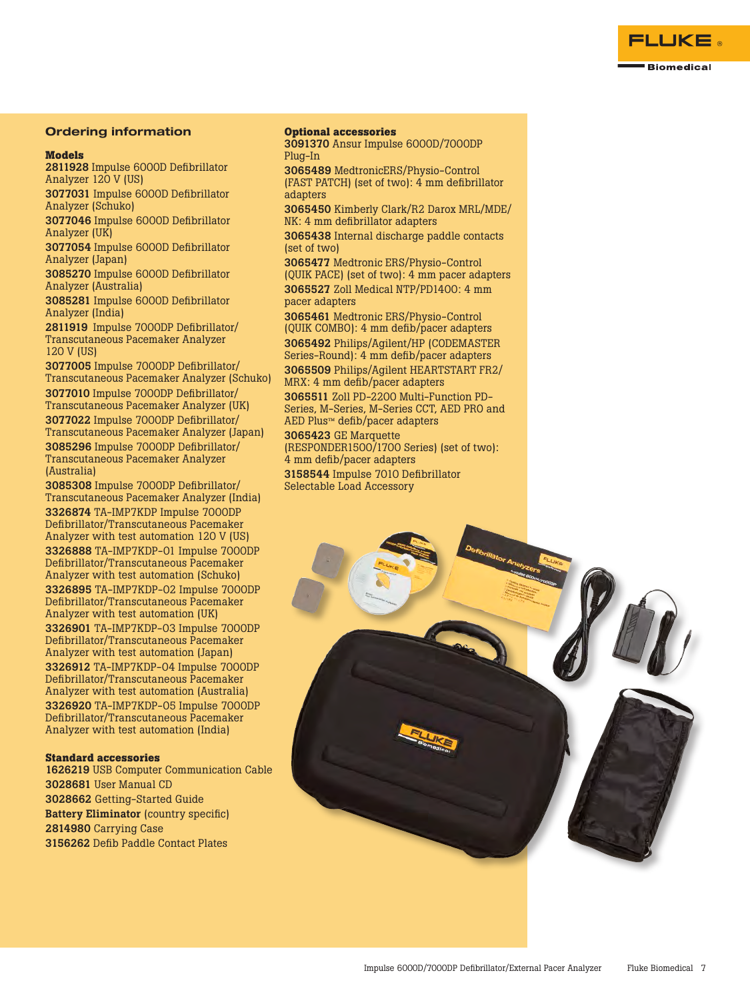

#### Ordering information

#### **Models**

2811928 Impulse 6000D Defibrillator Analyzer 120 V (US)

3077031 Impulse 6000D Defibrillator Analyzer (Schuko)

3077046 Impulse 6000D Defibrillator Analyzer (UK)

3077054 Impulse 6000D Defibrillator Analyzer (Japan)

3085270 Impulse 6000D Defibrillator Analyzer (Australia)

3085281 Impulse 6000D Defibrillator Analyzer (India)

2811919 Impulse 7000DP Defibrillator/ Transcutaneous Pacemaker Analyzer 120 V (US)

3077005 Impulse 7000DP Defibrillator/ Transcutaneous Pacemaker Analyzer (Schuko) 3077010 Impulse 7000DP Defibrillator/

Transcutaneous Pacemaker Analyzer (UK) 3077022 Impulse 7000DP Defibrillator/ Transcutaneous Pacemaker Analyzer (Japan) 3085296 Impulse 7000DP Defibrillator/ Transcutaneous Pacemaker Analyzer (Australia)

3085308 Impulse 7000DP Defibrillator/ Transcutaneous Pacemaker Analyzer (India) 3326874 TA-IMP7KDP Impulse 7000DP Defibrillator/Transcutaneous Pacemaker Analyzer with test automation 120 V (US) 3326888 TA-IMP7KDP-01 Impulse 7000DP Defibrillator/Transcutaneous Pacemaker Analyzer with test automation (Schuko) 3326895 TA-IMP7KDP-02 Impulse 7000DP Defibrillator/Transcutaneous Pacemaker Analyzer with test automation (UK) 3326901 TA-IMP7KDP-03 Impulse 7000DP Defibrillator/Transcutaneous Pacemaker Analyzer with test automation (Japan) 3326912 TA-IMP7KDP-04 Impulse 7000DP Defibrillator/Transcutaneous Pacemaker Analyzer with test automation (Australia) 3326920 TA-IMP7KDP-05 Impulse 7000DP Defibrillator/Transcutaneous Pacemaker Analyzer with test automation (India)

#### **Standard accessories**

 USB Computer Communication Cable User Manual CD Getting-Started Guide Battery Eliminator (country specific) Carrying Case Defib Paddle Contact Plates

#### **Optional accessories**

3091370 Ansur Impulse 6000D/7000DP Plug-In

3065489 MedtronicERS/Physio-Control (FAST PATCH) (set of two): 4 mm defibrillator adapters

3065450 Kimberly Clark/R2 Darox MRL/MDE/ NK: 4 mm defibrillator adapters

3065438 Internal discharge paddle contacts (set of two)

3065477 Medtronic ERS/Physio-Control (QUIK PACE) (set of two): 4 mm pacer adapters 3065527 Zoll Medical NTP/PD1400: 4 mm pacer adapters

3065461 Medtronic ERS/Physio-Control (QUIK COMBO): 4 mm defib/pacer adapters 3065492 Philips/Agilent/HP (CODEMASTER Series-Round): 4 mm defib/pacer adapters 3065509 Philips/Agilent HEARTSTART FR2/ MRX: 4 mm defib/pacer adapters

3065511 Zoll PD-2200 Multi-Function PD-Series, M-Series, M-Series CCT, AED PRO and AED Plus™ defib/pacer adapters

## 3065423 GE Marquette

(RESPONDER1500/1700 Series) (set of two): 4 mm defib/pacer adapters

3158544 Impulse 7010 Defibrillator Selectable Load Accessory